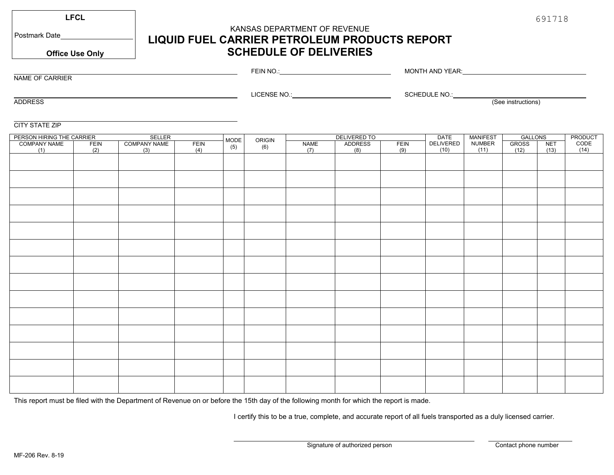**LFCL**

Postmark Date

NAME OF CARRIER

# KANSAS DEPARTMENT OF REVENUE **LIQUID FUEL CARRIER PETROLEUM PRODUCTS REPORT SCHEDULE OF DELIVERIES**

**Office Use Only**

#### FEIN NO.: **\_\_\_\_\_\_\_\_\_\_\_\_\_\_\_\_\_\_\_\_\_\_\_\_\_\_\_\_\_\_\_\_\_\_\_** LICENSE NO.: MONTH AND YEAR: University of the Second Second Second Second Second Second Second Second Second Second Second Second Second Second Second Second Second Second Second Second Second Second Second Second Second Second Second SCHEDULE NO.:

ADDRESS

(See instructions)

#### CITY STATE ZIP

| PERSON HIRING THE CARRIER<br>SELLER |      |                     |      |             |               | DELIVERED TO |         |      | <b>DATE</b> | <b>MANIFEST</b> | GALLONS      |            | PRODUCT |
|-------------------------------------|------|---------------------|------|-------------|---------------|--------------|---------|------|-------------|-----------------|--------------|------------|---------|
| <b>COMPANY NAME</b>                 | FEIN | <b>COMPANY NAME</b> | FEIN | MODE<br>(5) | ORIGIN<br>(6) | NAME         | ADDRESS | FEIN | DELIVERED   | <b>NUMBER</b>   | <b>GROSS</b> | <b>NET</b> | CODE    |
| (1)                                 | (2)  | (3)                 | (4)  |             |               | (7)          | (8)     | (9)  | (10)        | (11)            | (12)         | (13)       | (14)    |
|                                     |      |                     |      |             |               |              |         |      |             |                 |              |            |         |
|                                     |      |                     |      |             |               |              |         |      |             |                 |              |            |         |
|                                     |      |                     |      |             |               |              |         |      |             |                 |              |            |         |
|                                     |      |                     |      |             |               |              |         |      |             |                 |              |            |         |
|                                     |      |                     |      |             |               |              |         |      |             |                 |              |            |         |
|                                     |      |                     |      |             |               |              |         |      |             |                 |              |            |         |
|                                     |      |                     |      |             |               |              |         |      |             |                 |              |            |         |
|                                     |      |                     |      |             |               |              |         |      |             |                 |              |            |         |
|                                     |      |                     |      |             |               |              |         |      |             |                 |              |            |         |
|                                     |      |                     |      |             |               |              |         |      |             |                 |              |            |         |
|                                     |      |                     |      |             |               |              |         |      |             |                 |              |            |         |
|                                     |      |                     |      |             |               |              |         |      |             |                 |              |            |         |
|                                     |      |                     |      |             |               |              |         |      |             |                 |              |            |         |
|                                     |      |                     |      |             |               |              |         |      |             |                 |              |            |         |
|                                     |      |                     |      |             |               |              |         |      |             |                 |              |            |         |
|                                     |      |                     |      |             |               |              |         |      |             |                 |              |            |         |

This report must be filed with the Department of Revenue on or before the 15th day of the following month for which the report is made.

I certify this to be a true, complete, and accurate report of all fuels transported as a duly licensed carrier.